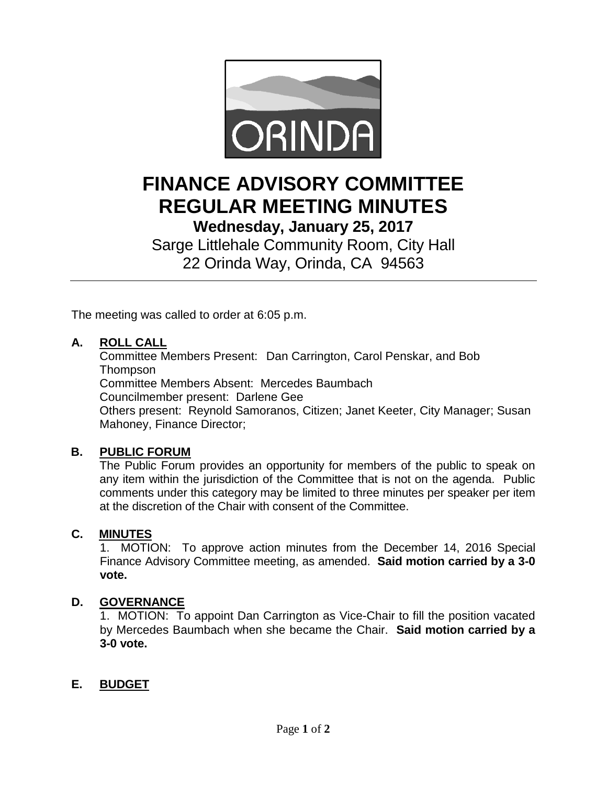

# **FINANCE ADVISORY COMMITTEE REGULAR MEETING MINUTES**

**Wednesday, January 25, 2017**

Sarge Littlehale Community Room, City Hall 22 Orinda Way, Orinda, CA 94563

The meeting was called to order at 6:05 p.m.

## **A. ROLL CALL**

Committee Members Present: Dan Carrington, Carol Penskar, and Bob **Thompson** 

Committee Members Absent: Mercedes Baumbach

Councilmember present: Darlene Gee

Others present: Reynold Samoranos, Citizen; Janet Keeter, City Manager; Susan Mahoney, Finance Director;

## **B. PUBLIC FORUM**

The Public Forum provides an opportunity for members of the public to speak on any item within the jurisdiction of the Committee that is not on the agenda. Public comments under this category may be limited to three minutes per speaker per item at the discretion of the Chair with consent of the Committee.

#### **C. MINUTES**

1. MOTION: To approve action minutes from the December 14, 2016 Special Finance Advisory Committee meeting, as amended. **Said motion carried by a 3-0 vote.**

#### **D. GOVERNANCE**

1.MOTION: To appoint Dan Carrington as Vice-Chair to fill the position vacated by Mercedes Baumbach when she became the Chair. **Said motion carried by a 3-0 vote.**

## **E. BUDGET**